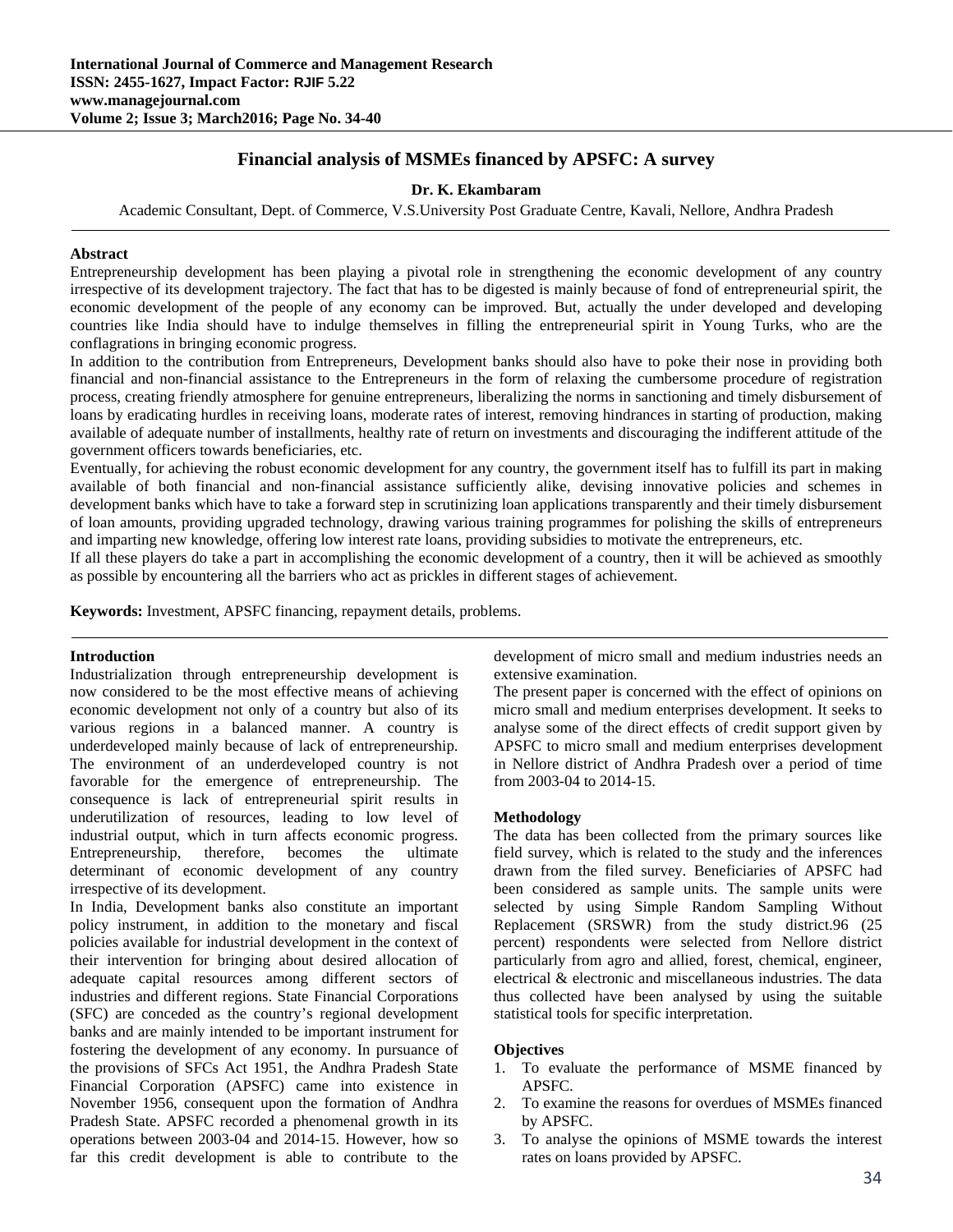# **Financial analysis of MSMEs financed by APSFC: A survey**

# **Dr. K. Ekambaram**

Academic Consultant, Dept. of Commerce, V.S.University Post Graduate Centre, Kavali, Nellore, Andhra Pradesh

#### **Abstract**

Entrepreneurship development has been playing a pivotal role in strengthening the economic development of any country irrespective of its development trajectory. The fact that has to be digested is mainly because of fond of entrepreneurial spirit, the economic development of the people of any economy can be improved. But, actually the under developed and developing countries like India should have to indulge themselves in filling the entrepreneurial spirit in Young Turks, who are the conflagrations in bringing economic progress.

In addition to the contribution from Entrepreneurs, Development banks should also have to poke their nose in providing both financial and non-financial assistance to the Entrepreneurs in the form of relaxing the cumbersome procedure of registration process, creating friendly atmosphere for genuine entrepreneurs, liberalizing the norms in sanctioning and timely disbursement of loans by eradicating hurdles in receiving loans, moderate rates of interest, removing hindrances in starting of production, making available of adequate number of installments, healthy rate of return on investments and discouraging the indifferent attitude of the government officers towards beneficiaries, etc.

Eventually, for achieving the robust economic development for any country, the government itself has to fulfill its part in making available of both financial and non-financial assistance sufficiently alike, devising innovative policies and schemes in development banks which have to take a forward step in scrutinizing loan applications transparently and their timely disbursement of loan amounts, providing upgraded technology, drawing various training programmes for polishing the skills of entrepreneurs and imparting new knowledge, offering low interest rate loans, providing subsidies to motivate the entrepreneurs, etc.

If all these players do take a part in accomplishing the economic development of a country, then it will be achieved as smoothly as possible by encountering all the barriers who act as prickles in different stages of achievement.

**Keywords:** Investment, APSFC financing, repayment details, problems.

#### **Introduction**

Industrialization through entrepreneurship development is now considered to be the most effective means of achieving economic development not only of a country but also of its various regions in a balanced manner. A country is underdeveloped mainly because of lack of entrepreneurship. The environment of an underdeveloped country is not favorable for the emergence of entrepreneurship. The consequence is lack of entrepreneurial spirit results in underutilization of resources, leading to low level of industrial output, which in turn affects economic progress. Entrepreneurship, therefore, becomes the ultimate determinant of economic development of any country irrespective of its development.

In India, Development banks also constitute an important policy instrument, in addition to the monetary and fiscal policies available for industrial development in the context of their intervention for bringing about desired allocation of adequate capital resources among different sectors of industries and different regions. State Financial Corporations (SFC) are conceded as the country's regional development banks and are mainly intended to be important instrument for fostering the development of any economy. In pursuance of the provisions of SFCs Act 1951, the Andhra Pradesh State Financial Corporation (APSFC) came into existence in November 1956, consequent upon the formation of Andhra Pradesh State. APSFC recorded a phenomenal growth in its operations between 2003-04 and 2014-15. However, how so far this credit development is able to contribute to the development of micro small and medium industries needs an extensive examination.

The present paper is concerned with the effect of opinions on micro small and medium enterprises development. It seeks to analyse some of the direct effects of credit support given by APSFC to micro small and medium enterprises development in Nellore district of Andhra Pradesh over a period of time from 2003-04 to 2014-15.

#### **Methodology**

The data has been collected from the primary sources like field survey, which is related to the study and the inferences drawn from the filed survey. Beneficiaries of APSFC had been considered as sample units. The sample units were selected by using Simple Random Sampling Without Replacement (SRSWR) from the study district.96 (25 percent) respondents were selected from Nellore district particularly from agro and allied, forest, chemical, engineer, electrical & electronic and miscellaneous industries. The data thus collected have been analysed by using the suitable statistical tools for specific interpretation.

#### **Objectives**

- 1. To evaluate the performance of MSME financed by APSFC.
- 2. To examine the reasons for overdues of MSMEs financed by APSFC.
- 3. To analyse the opinions of MSME towards the interest rates on loans provided by APSFC.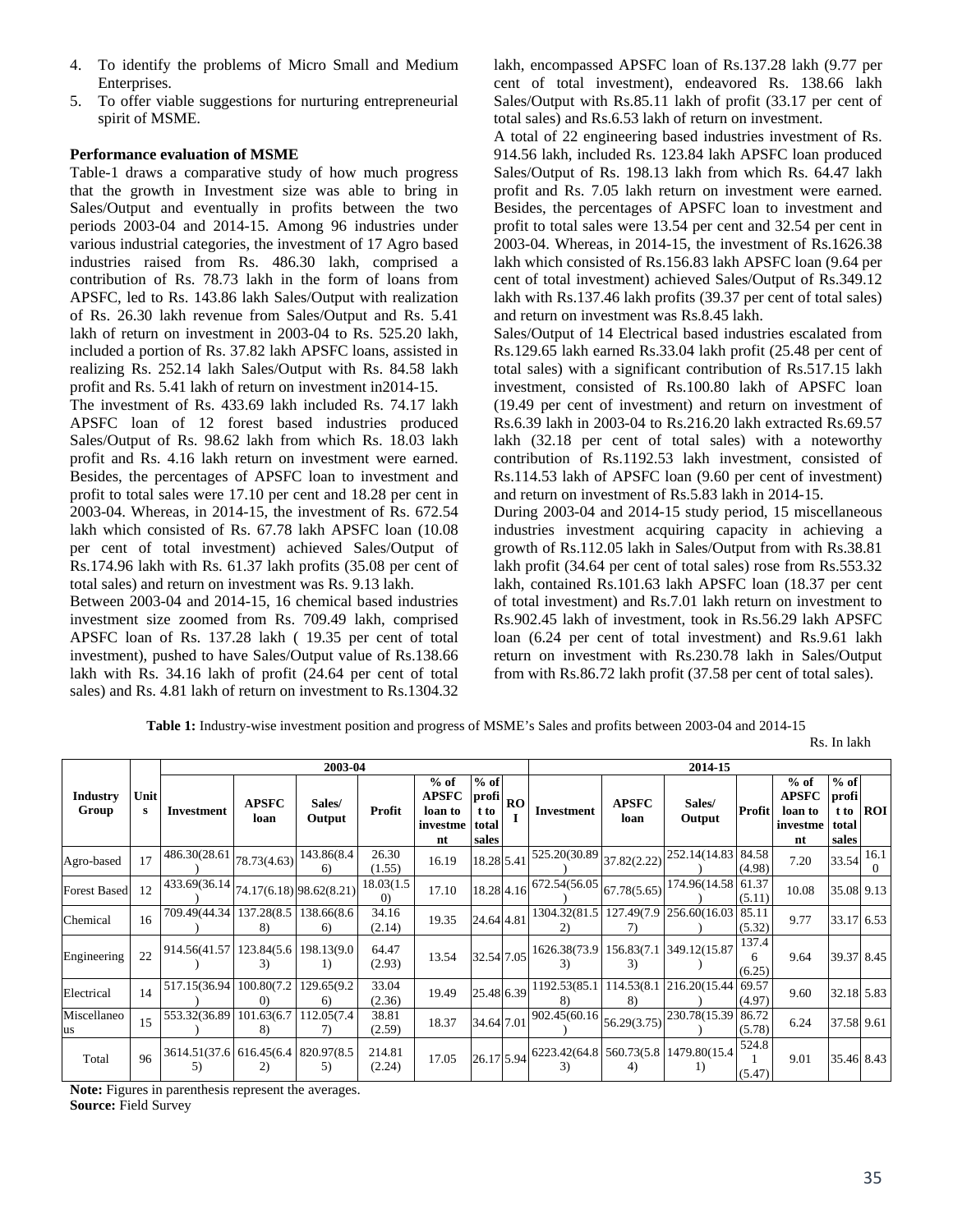- 4. To identify the problems of Micro Small and Medium Enterprises.
- 5. To offer viable suggestions for nurturing entrepreneurial spirit of MSME.

# **Performance evaluation of MSME**

Table-1 draws a comparative study of how much progress that the growth in Investment size was able to bring in Sales/Output and eventually in profits between the two periods 2003-04 and 2014-15. Among 96 industries under various industrial categories, the investment of 17 Agro based industries raised from Rs. 486.30 lakh, comprised a contribution of Rs. 78.73 lakh in the form of loans from APSFC, led to Rs. 143.86 lakh Sales/Output with realization of Rs. 26.30 lakh revenue from Sales/Output and Rs. 5.41 lakh of return on investment in 2003-04 to Rs. 525.20 lakh, included a portion of Rs. 37.82 lakh APSFC loans, assisted in realizing Rs. 252.14 lakh Sales/Output with Rs. 84.58 lakh profit and Rs. 5.41 lakh of return on investment in2014-15.

The investment of Rs. 433.69 lakh included Rs. 74.17 lakh APSFC loan of 12 forest based industries produced Sales/Output of Rs. 98.62 lakh from which Rs. 18.03 lakh profit and Rs. 4.16 lakh return on investment were earned. Besides, the percentages of APSFC loan to investment and profit to total sales were 17.10 per cent and 18.28 per cent in 2003-04. Whereas, in 2014-15, the investment of Rs. 672.54 lakh which consisted of Rs. 67.78 lakh APSFC loan (10.08 per cent of total investment) achieved Sales/Output of Rs.174.96 lakh with Rs. 61.37 lakh profits (35.08 per cent of total sales) and return on investment was Rs. 9.13 lakh.

Between 2003-04 and 2014-15, 16 chemical based industries investment size zoomed from Rs. 709.49 lakh, comprised APSFC loan of Rs. 137.28 lakh ( 19.35 per cent of total investment), pushed to have Sales/Output value of Rs.138.66 lakh with Rs. 34.16 lakh of profit (24.64 per cent of total sales) and Rs. 4.81 lakh of return on investment to Rs.1304.32

lakh, encompassed APSFC loan of Rs.137.28 lakh (9.77 per cent of total investment), endeavored Rs. 138.66 lakh Sales/Output with Rs.85.11 lakh of profit (33.17 per cent of total sales) and Rs.6.53 lakh of return on investment.

A total of 22 engineering based industries investment of Rs. 914.56 lakh, included Rs. 123.84 lakh APSFC loan produced Sales/Output of Rs. 198.13 lakh from which Rs. 64.47 lakh profit and Rs. 7.05 lakh return on investment were earned. Besides, the percentages of APSFC loan to investment and profit to total sales were 13.54 per cent and 32.54 per cent in 2003-04. Whereas, in 2014-15, the investment of Rs.1626.38 lakh which consisted of Rs.156.83 lakh APSFC loan (9.64 per cent of total investment) achieved Sales/Output of Rs.349.12 lakh with Rs.137.46 lakh profits (39.37 per cent of total sales) and return on investment was Rs.8.45 lakh.

Sales/Output of 14 Electrical based industries escalated from Rs.129.65 lakh earned Rs.33.04 lakh profit (25.48 per cent of total sales) with a significant contribution of Rs.517.15 lakh investment, consisted of Rs.100.80 lakh of APSFC loan (19.49 per cent of investment) and return on investment of Rs.6.39 lakh in 2003-04 to Rs.216.20 lakh extracted Rs.69.57 lakh (32.18 per cent of total sales) with a noteworthy contribution of Rs.1192.53 lakh investment, consisted of Rs.114.53 lakh of APSFC loan (9.60 per cent of investment) and return on investment of Rs.5.83 lakh in 2014-15.

During 2003-04 and 2014-15 study period, 15 miscellaneous industries investment acquiring capacity in achieving a growth of Rs.112.05 lakh in Sales/Output from with Rs.38.81 lakh profit (34.64 per cent of total sales) rose from Rs.553.32 lakh, contained Rs.101.63 lakh APSFC loan (18.37 per cent of total investment) and Rs.7.01 lakh return on investment to Rs.902.45 lakh of investment, took in Rs.56.29 lakh APSFC loan (6.24 per cent of total investment) and Rs.9.61 lakh return on investment with Rs.230.78 lakh in Sales/Output from with Rs.86.72 lakh profit (37.58 per cent of total sales).

**Table 1:** Industry-wise investment position and progress of MSME's Sales and profits between 2003-04 and 2014-15

Rs. In lakh

|                     |           |                                                     |                      | 2003-04           |                        |                                                     |                                           |           |                                                                                                                   |                      | 2014-15             |                      |                                                     |                                           |                  |
|---------------------|-----------|-----------------------------------------------------|----------------------|-------------------|------------------------|-----------------------------------------------------|-------------------------------------------|-----------|-------------------------------------------------------------------------------------------------------------------|----------------------|---------------------|----------------------|-----------------------------------------------------|-------------------------------------------|------------------|
| Industry<br>Group   | Unit<br>s | Investment                                          | <b>APSFC</b><br>loan | Sales/<br>Output  | Profit                 | $%$ of<br><b>APSFC</b><br>loan to<br>investme<br>nt | $%$ of<br>profi<br>t to<br>total<br>sales | <b>RO</b> | Investment                                                                                                        | <b>APSFC</b><br>loan | Sales/<br>Output    | Profit               | $%$ of<br><b>APSFC</b><br>loan to<br>investme<br>nt | $%$ of<br>profi<br>t to<br>total<br>sales | <b>ROI</b>       |
| Agro-based          | 17        | 486.30(28.61                                        | 78.73(4.63)          | 143.86(8.4<br>6)  | 26.30<br>(1.55)        | 16.19                                               | 18.28 5.41                                |           | 525.20(30.89)                                                                                                     | 37.82(2.22)          | 252.14(14.83 84.58) | (4.98)               | 7.20                                                | 33.54                                     | 16.1<br>$\Omega$ |
| <b>Forest Based</b> | 12        | $1\overline{433.69(36.14)}$ 74.17(6.18) 98.62(8.21) |                      |                   | 18.03(1.5)<br>$\Omega$ | 17.10                                               | 18.28 4.16                                |           | 672.54(56.05                                                                                                      | 67.78(5.65)          | 174.96(14.58 61.37  | (5.11)               | 10.08                                               | 35.08 9.13                                |                  |
| Chemical            | 16        | 709.49(44.34)                                       | 137.28(8.5)<br>8)    | 138.66(8.6<br>6)  | 34.16<br>(2.14)        | 19.35                                               | 24.64 4.81                                |           | 1304.32(81.5                                                                                                      | 127.49(7.9)          | 256.60(16.03 85.11) | (5.32)               | 9.77                                                | 33.17 6.53                                |                  |
| Engineering         | 22        | 914.56(41.57   123.84(5.6                           | 3)                   | 198.13(9.0)<br>1) | 64.47<br>(2.93)        | 13.54                                               | 32.54 7.05                                |           | 1626.38(73.9<br>3)                                                                                                | 156.83(7.1)<br>3)    | 349.12(15.87        | 137.4<br>6<br>(6.25) | 9.64                                                | 39.37 8.45                                |                  |
| Electrical          | 14        | 517.15(36.94   100.80(7.2                           | $\Omega$             | 129.65(9.2<br>6)  | 33.04<br>(2.36)        | 19.49                                               | 25.48 6.39                                |           | 1192.53(85.1)<br>8)                                                                                               | 114.53(8.1)<br>8)    | 216.20(15.44 69.57  | (4.97)               | 9.60                                                | 32.18 5.83                                |                  |
| Miscellaneo<br>us   | 15        | 553.32(36.89   101.63(6.7                           | 8)                   | 112.05(7.4)<br>7) | 38.81<br>(2.59)        | 18.37                                               | 34.64 7.01                                |           | 902.45(60.16)                                                                                                     | 56.29(3.75)          | 230.78(15.39)       | 86.72<br>(5.78)      | 6.24                                                | 37.58 9.61                                |                  |
| Total               | 96        | 3614.51(37.6 616.45(6.4 820.97(8.5<br>5)            | 2)                   | 5)                | 214.81<br>(2.24)       | 17.05                                               |                                           |           | $\left  26.17 \right  5.94 \left  \frac{6223.42(64.8)}{3} \right  560.73(5.8) \left  1479.80(15.4) \right $<br>3) | 4)                   | 1)                  | 524.8<br>(5.47)      | 9.01                                                | 35.46 8.43                                |                  |

**Note:** Figures in parenthesis represent the averages.

**Source:** Field Survey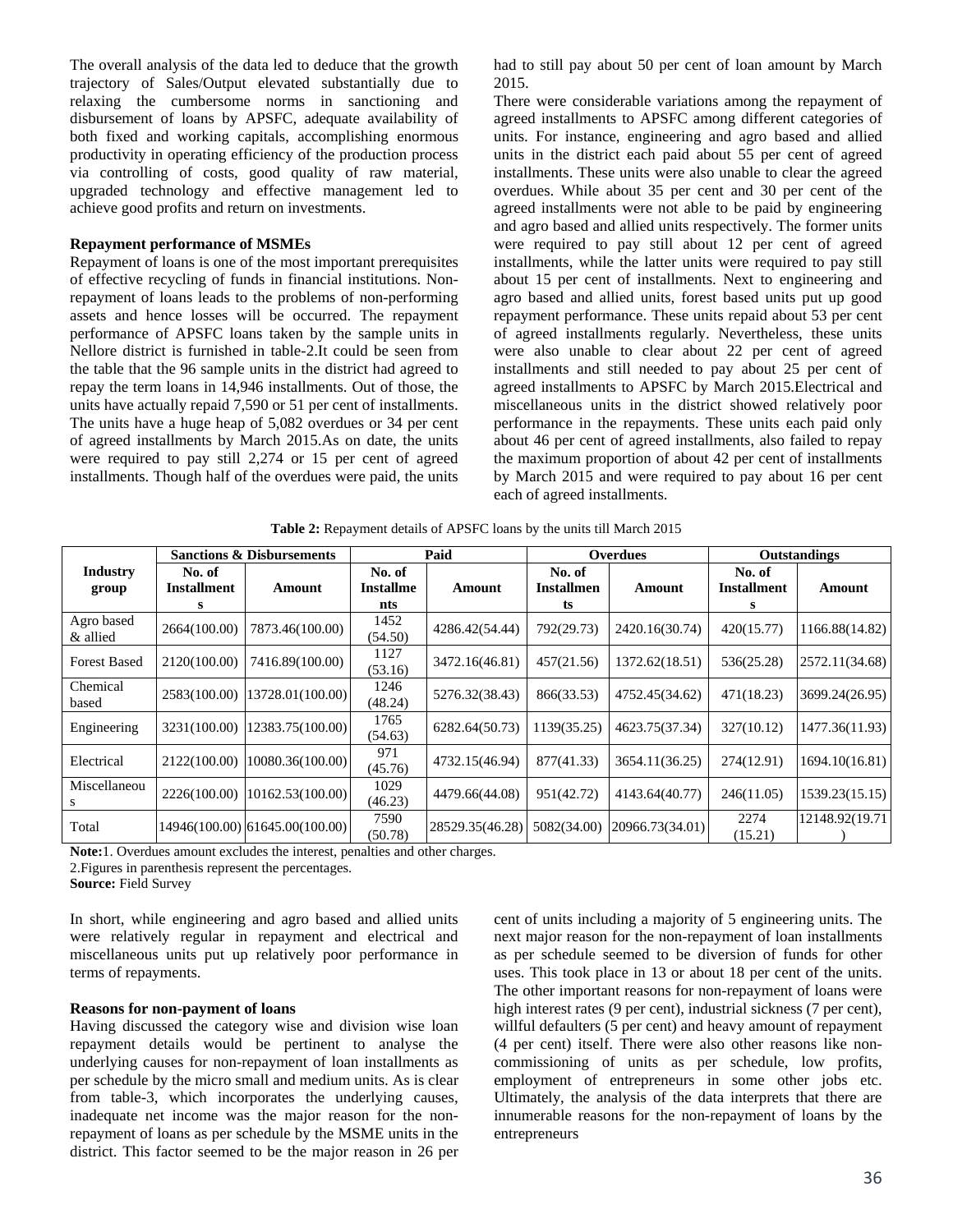The overall analysis of the data led to deduce that the growth trajectory of Sales/Output elevated substantially due to relaxing the cumbersome norms in sanctioning and disbursement of loans by APSFC, adequate availability of both fixed and working capitals, accomplishing enormous productivity in operating efficiency of the production process via controlling of costs, good quality of raw material, upgraded technology and effective management led to achieve good profits and return on investments.

# **Repayment performance of MSMEs**

Repayment of loans is one of the most important prerequisites of effective recycling of funds in financial institutions. Nonrepayment of loans leads to the problems of non-performing assets and hence losses will be occurred. The repayment performance of APSFC loans taken by the sample units in Nellore district is furnished in table-2.It could be seen from the table that the 96 sample units in the district had agreed to repay the term loans in 14,946 installments. Out of those, the units have actually repaid 7,590 or 51 per cent of installments. The units have a huge heap of 5,082 overdues or 34 per cent of agreed installments by March 2015.As on date, the units were required to pay still 2,274 or 15 per cent of agreed installments. Though half of the overdues were paid, the units

had to still pay about 50 per cent of loan amount by March 2015.

There were considerable variations among the repayment of agreed installments to APSFC among different categories of units. For instance, engineering and agro based and allied units in the district each paid about 55 per cent of agreed installments. These units were also unable to clear the agreed overdues. While about 35 per cent and 30 per cent of the agreed installments were not able to be paid by engineering and agro based and allied units respectively. The former units were required to pay still about 12 per cent of agreed installments, while the latter units were required to pay still about 15 per cent of installments. Next to engineering and agro based and allied units, forest based units put up good repayment performance. These units repaid about 53 per cent of agreed installments regularly. Nevertheless, these units were also unable to clear about 22 per cent of agreed installments and still needed to pay about 25 per cent of agreed installments to APSFC by March 2015.Electrical and miscellaneous units in the district showed relatively poor performance in the repayments. These units each paid only about 46 per cent of agreed installments, also failed to repay the maximum proportion of about 42 per cent of installments by March 2015 and were required to pay about 16 per cent each of agreed installments.

|                          | <b>Sanctions &amp; Disbursements</b> |                                |                                   | Paid            |                                   | <b>Overdues</b> |                                   | <b>Outstandings</b> |  |
|--------------------------|--------------------------------------|--------------------------------|-----------------------------------|-----------------|-----------------------------------|-----------------|-----------------------------------|---------------------|--|
| <b>Industry</b><br>group | No. of<br><b>Installment</b>         | Amount                         | No. of<br><b>Installme</b><br>nts | Amount          | No. of<br><b>Installmen</b><br>ts | Amount          | No. of<br><b>Installment</b><br>s | Amount              |  |
| Agro based<br>& allied   | 2664(100.00)                         | 7873.46(100.00)                | 1452<br>(54.50)                   | 4286.42(54.44)  | 792(29.73)                        | 2420.16(30.74)  | 420(15.77)                        | 1166.88(14.82)      |  |
| <b>Forest Based</b>      | 2120(100.00)                         | 7416.89(100.00)                | 1127<br>(53.16)                   | 3472.16(46.81)  | 457(21.56)                        | 1372.62(18.51)  | 536(25.28)                        | 2572.11(34.68)      |  |
| Chemical<br>based        | 2583(100.00)                         | 13728.01(100.00)               | 1246<br>(48.24)                   | 5276.32(38.43)  | 866(33.53)                        | 4752.45(34.62)  | 471(18.23)                        | 3699.24(26.95)      |  |
| Engineering              | 3231(100.00)                         | 12383.75(100.00)               | 1765<br>(54.63)                   | 6282.64(50.73)  | 1139(35.25)                       | 4623.75(37.34)  | 327(10.12)                        | 1477.36(11.93)      |  |
| Electrical               | 2122(100.00)                         | 10080.36(100.00)               | 971<br>(45.76)                    | 4732.15(46.94)  | 877(41.33)                        | 3654.11(36.25)  | 274(12.91)                        | 1694.10(16.81)      |  |
| Miscellaneou             | 2226(100.00)                         | 10162.53(100.00)               | 1029<br>(46.23)                   | 4479.66(44.08)  | 951(42.72)                        | 4143.64(40.77)  | 246(11.05)                        | 1539.23(15.15)      |  |
| Total                    |                                      | 14946(100.00) 61645.00(100.00) | 7590<br>(50.78)                   | 28529.35(46.28) | 5082(34.00)                       | 20966.73(34.01) | 2274<br>(15.21)                   | 12148.92(19.71)     |  |

**Table 2:** Repayment details of APSFC loans by the units till March 2015

**Note:**1. Overdues amount excludes the interest, penalties and other charges.

2.Figures in parenthesis represent the percentages.

**Source:** Field Survey

In short, while engineering and agro based and allied units were relatively regular in repayment and electrical and miscellaneous units put up relatively poor performance in terms of repayments.

# **Reasons for non-payment of loans**

Having discussed the category wise and division wise loan repayment details would be pertinent to analyse the underlying causes for non-repayment of loan installments as per schedule by the micro small and medium units. As is clear from table-3, which incorporates the underlying causes, inadequate net income was the major reason for the nonrepayment of loans as per schedule by the MSME units in the district. This factor seemed to be the major reason in 26 per

cent of units including a majority of 5 engineering units. The next major reason for the non-repayment of loan installments as per schedule seemed to be diversion of funds for other uses. This took place in 13 or about 18 per cent of the units. The other important reasons for non-repayment of loans were high interest rates (9 per cent), industrial sickness (7 per cent), willful defaulters (5 per cent) and heavy amount of repayment (4 per cent) itself. There were also other reasons like noncommissioning of units as per schedule, low profits, employment of entrepreneurs in some other jobs etc. Ultimately, the analysis of the data interprets that there are innumerable reasons for the non-repayment of loans by the entrepreneurs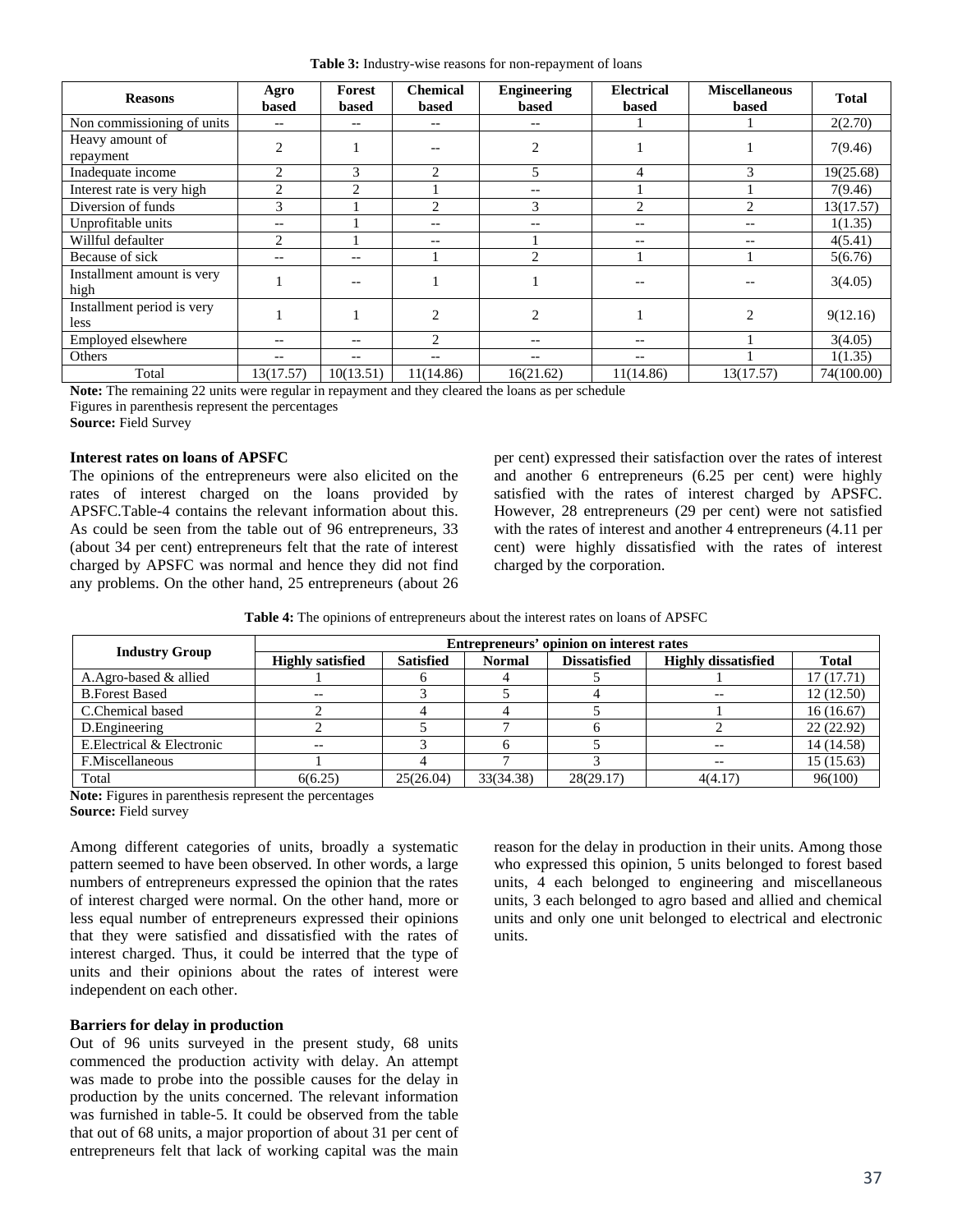|  | Table 3: Industry-wise reasons for non-repayment of loans |  |  |  |  |
|--|-----------------------------------------------------------|--|--|--|--|
|  |                                                           |  |  |  |  |

| <b>Reasons</b>                     | Agro<br>based  | Forest<br>based          | <b>Chemical</b><br>based | <b>Engineering</b><br>based | <b>Electrical</b><br>based | <b>Miscellaneous</b><br>based | <b>Total</b> |
|------------------------------------|----------------|--------------------------|--------------------------|-----------------------------|----------------------------|-------------------------------|--------------|
| Non commissioning of units         | $- -$          | $\overline{\phantom{m}}$ | --                       | $- -$                       |                            |                               | 2(2.70)      |
| Heavy amount of<br>repayment       | $\mathfrak{D}$ |                          |                          | $\mathfrak{D}$              |                            |                               | 7(9.46)      |
| Inadequate income                  | $\overline{2}$ | 3                        | $\overline{c}$           | 5                           | 4                          | 3                             | 19(25.68)    |
| Interest rate is very high         | $\overline{c}$ | $\overline{2}$           |                          | $-$                         |                            |                               | 7(9.46)      |
| Diversion of funds                 | 3              |                          | 2                        | 3                           | 2                          | 2                             | 13(17.57)    |
| Unprofitable units                 | --             |                          |                          |                             | --                         | --                            | 1(1.35)      |
| Willful defaulter                  | $\overline{c}$ |                          | --                       |                             | --                         | --                            | 4(5.41)      |
| Because of sick                    | $-$            | $- -$                    |                          | $\overline{c}$              |                            |                               | 5(6.76)      |
| Installment amount is very<br>high |                | --                       |                          |                             |                            |                               | 3(4.05)      |
| Installment period is very<br>less |                |                          | $\overline{c}$           | $\overline{c}$              |                            | 2                             | 9(12.16)     |
| Employed elsewhere                 | $- -$          | $- -$                    | $\overline{c}$           | $-$                         | $- -$                      |                               | 3(4.05)      |
| Others                             | $- -$          | $\overline{\phantom{m}}$ | --                       | $- -$                       | --                         |                               | 1(1.35)      |
| Total                              | 13(17.57)      | 10(13.51)                | 11(14.86)                | 16(21.62)                   | 11(14.86)                  | 13(17.57)                     | 74(100.00)   |

**Note:** The remaining 22 units were regular in repayment and they cleared the loans as per schedule Figures in parenthesis represent the percentages

**Source:** Field Survey

### **Interest rates on loans of APSFC**

The opinions of the entrepreneurs were also elicited on the rates of interest charged on the loans provided by APSFC.Table-4 contains the relevant information about this. As could be seen from the table out of 96 entrepreneurs, 33 (about 34 per cent) entrepreneurs felt that the rate of interest charged by APSFC was normal and hence they did not find any problems. On the other hand, 25 entrepreneurs (about 26

per cent) expressed their satisfaction over the rates of interest and another 6 entrepreneurs (6.25 per cent) were highly satisfied with the rates of interest charged by APSFC. However, 28 entrepreneurs (29 per cent) were not satisfied with the rates of interest and another 4 entrepreneurs (4.11 per cent) were highly dissatisfied with the rates of interest charged by the corporation.

**Table 4:** The opinions of entrepreneurs about the interest rates on loans of APSFC

| <b>Industry Group</b>      | Entrepreneurs' opinion on interest rates |                  |               |                     |                            |              |  |  |  |  |
|----------------------------|------------------------------------------|------------------|---------------|---------------------|----------------------------|--------------|--|--|--|--|
|                            | <b>Highly satisfied</b>                  | <b>Satisfied</b> | <b>Normal</b> | <b>Dissatisfied</b> | <b>Highly dissatisfied</b> | <b>Total</b> |  |  |  |  |
| A.Agro-based & allied      |                                          |                  |               |                     |                            | 17(17.71)    |  |  |  |  |
| <b>B.Forest Based</b>      | $- -$                                    |                  |               |                     |                            | 12 (12.50)   |  |  |  |  |
| C.Chemical based           |                                          |                  |               |                     |                            | 16(16.67)    |  |  |  |  |
| D.Engineering              |                                          |                  |               |                     |                            | 22(22.92)    |  |  |  |  |
| E. Electrical & Electronic | $- -$                                    |                  |               |                     | $- -$                      | 14 (14.58)   |  |  |  |  |
| F.Miscellaneous            |                                          |                  |               |                     |                            | 15 (15.63)   |  |  |  |  |
| Total                      | 6(6.25)                                  | 25(26.04)        | 33(34.38)     | 28(29.17)           | 4(4.17)                    | 96(100)      |  |  |  |  |

**Note:** Figures in parenthesis represent the percentages **Source:** Field survey

Among different categories of units, broadly a systematic pattern seemed to have been observed. In other words, a large numbers of entrepreneurs expressed the opinion that the rates of interest charged were normal. On the other hand, more or less equal number of entrepreneurs expressed their opinions that they were satisfied and dissatisfied with the rates of interest charged. Thus, it could be interred that the type of units and their opinions about the rates of interest were independent on each other.

### **Barriers for delay in production**

Out of 96 units surveyed in the present study, 68 units commenced the production activity with delay. An attempt was made to probe into the possible causes for the delay in production by the units concerned. The relevant information was furnished in table-5. It could be observed from the table that out of 68 units, a major proportion of about 31 per cent of entrepreneurs felt that lack of working capital was the main

reason for the delay in production in their units. Among those who expressed this opinion, 5 units belonged to forest based units, 4 each belonged to engineering and miscellaneous units, 3 each belonged to agro based and allied and chemical units and only one unit belonged to electrical and electronic units.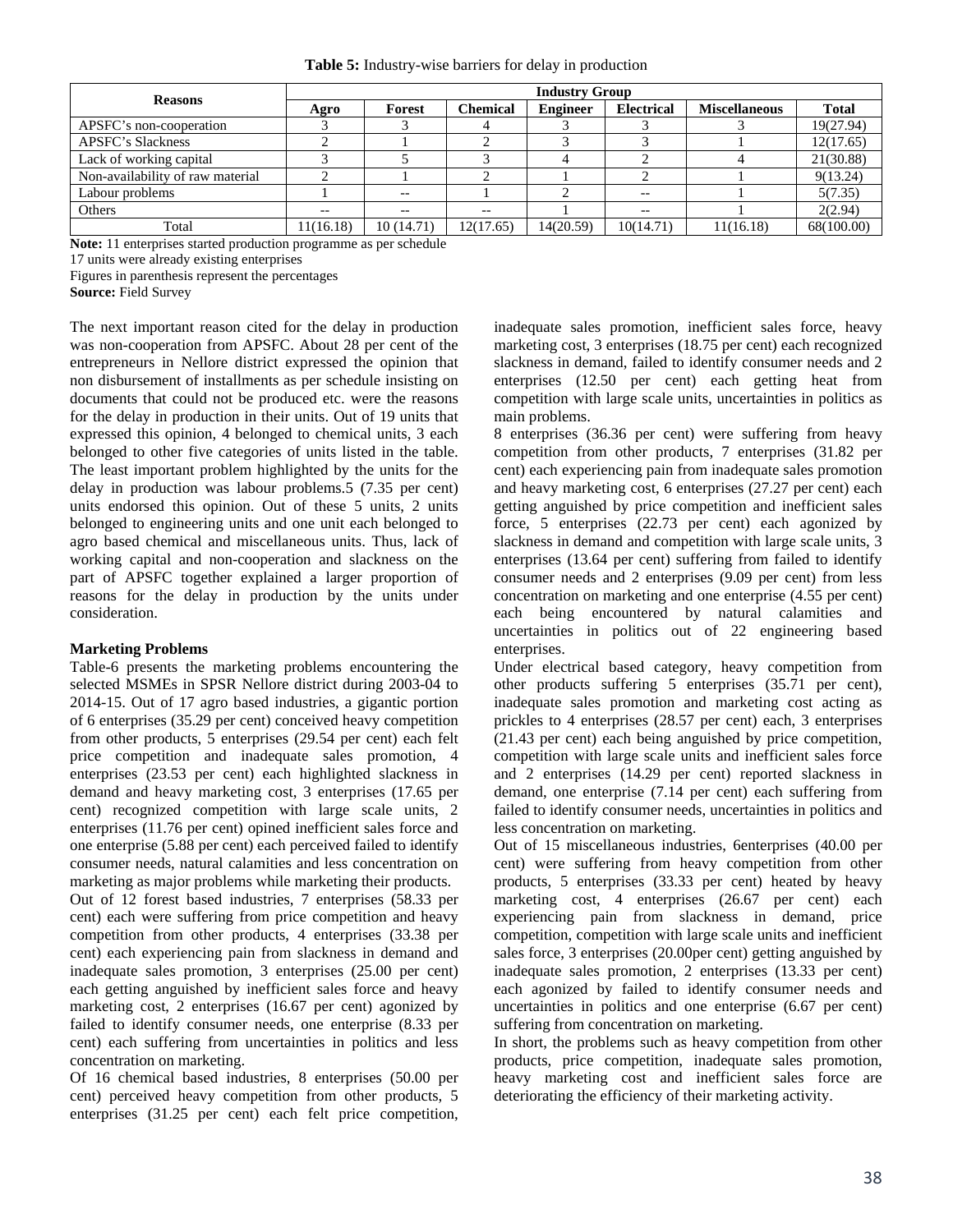| <b>Reasons</b>                   |           | <b>Industry Group</b> |                 |                 |                   |                      |              |  |  |  |  |
|----------------------------------|-----------|-----------------------|-----------------|-----------------|-------------------|----------------------|--------------|--|--|--|--|
|                                  | Agro      | Forest                | <b>Chemical</b> | <b>Engineer</b> | <b>Electrical</b> | <b>Miscellaneous</b> | <b>Total</b> |  |  |  |  |
| APSFC's non-cooperation          |           |                       |                 |                 |                   |                      | 19(27.94)    |  |  |  |  |
| <b>APSFC's Slackness</b>         |           |                       |                 |                 |                   |                      | 12(17.65)    |  |  |  |  |
| Lack of working capital          |           |                       |                 |                 |                   |                      | 21(30.88)    |  |  |  |  |
| Non-availability of raw material |           |                       |                 |                 |                   |                      | 9(13.24)     |  |  |  |  |
| Labour problems                  |           | $ -$                  |                 |                 | $- -$             |                      | 5(7.35)      |  |  |  |  |
| Others                           |           |                       |                 |                 | $- -$             |                      | 2(2.94)      |  |  |  |  |
| Total                            | 11(16.18) | 10(14.71)             | 12(17.65)       | 14(20.59)       | 10(14.71)         | 11(16.18)            | 68(100.00)   |  |  |  |  |

**Note:** 11 enterprises started production programme as per schedule

17 units were already existing enterprises

Figures in parenthesis represent the percentages

**Source:** Field Survey

The next important reason cited for the delay in production was non-cooperation from APSFC. About 28 per cent of the entrepreneurs in Nellore district expressed the opinion that non disbursement of installments as per schedule insisting on documents that could not be produced etc. were the reasons for the delay in production in their units. Out of 19 units that expressed this opinion, 4 belonged to chemical units, 3 each belonged to other five categories of units listed in the table. The least important problem highlighted by the units for the delay in production was labour problems.5 (7.35 per cent) units endorsed this opinion. Out of these 5 units, 2 units belonged to engineering units and one unit each belonged to agro based chemical and miscellaneous units. Thus, lack of working capital and non-cooperation and slackness on the part of APSFC together explained a larger proportion of reasons for the delay in production by the units under consideration.

## **Marketing Problems**

Table-6 presents the marketing problems encountering the selected MSMEs in SPSR Nellore district during 2003-04 to 2014-15. Out of 17 agro based industries, a gigantic portion of 6 enterprises (35.29 per cent) conceived heavy competition from other products, 5 enterprises (29.54 per cent) each felt price competition and inadequate sales promotion, 4 enterprises (23.53 per cent) each highlighted slackness in demand and heavy marketing cost, 3 enterprises (17.65 per cent) recognized competition with large scale units, 2 enterprises (11.76 per cent) opined inefficient sales force and one enterprise (5.88 per cent) each perceived failed to identify consumer needs, natural calamities and less concentration on marketing as major problems while marketing their products.

Out of 12 forest based industries, 7 enterprises (58.33 per cent) each were suffering from price competition and heavy competition from other products, 4 enterprises (33.38 per cent) each experiencing pain from slackness in demand and inadequate sales promotion, 3 enterprises (25.00 per cent) each getting anguished by inefficient sales force and heavy marketing cost, 2 enterprises (16.67 per cent) agonized by failed to identify consumer needs, one enterprise (8.33 per cent) each suffering from uncertainties in politics and less concentration on marketing.

Of 16 chemical based industries, 8 enterprises (50.00 per cent) perceived heavy competition from other products, 5 enterprises (31.25 per cent) each felt price competition, inadequate sales promotion, inefficient sales force, heavy marketing cost, 3 enterprises (18.75 per cent) each recognized slackness in demand, failed to identify consumer needs and 2 enterprises (12.50 per cent) each getting heat from competition with large scale units, uncertainties in politics as main problems.

8 enterprises (36.36 per cent) were suffering from heavy competition from other products, 7 enterprises (31.82 per cent) each experiencing pain from inadequate sales promotion and heavy marketing cost, 6 enterprises (27.27 per cent) each getting anguished by price competition and inefficient sales force, 5 enterprises (22.73 per cent) each agonized by slackness in demand and competition with large scale units, 3 enterprises (13.64 per cent) suffering from failed to identify consumer needs and 2 enterprises (9.09 per cent) from less concentration on marketing and one enterprise (4.55 per cent) each being encountered by natural calamities and uncertainties in politics out of 22 engineering based enterprises.

Under electrical based category, heavy competition from other products suffering 5 enterprises (35.71 per cent), inadequate sales promotion and marketing cost acting as prickles to 4 enterprises (28.57 per cent) each, 3 enterprises (21.43 per cent) each being anguished by price competition, competition with large scale units and inefficient sales force and 2 enterprises (14.29 per cent) reported slackness in demand, one enterprise (7.14 per cent) each suffering from failed to identify consumer needs, uncertainties in politics and less concentration on marketing.

Out of 15 miscellaneous industries, 6enterprises (40.00 per cent) were suffering from heavy competition from other products, 5 enterprises (33.33 per cent) heated by heavy marketing cost, 4 enterprises (26.67 per cent) each experiencing pain from slackness in demand, price competition, competition with large scale units and inefficient sales force, 3 enterprises (20.00per cent) getting anguished by inadequate sales promotion, 2 enterprises (13.33 per cent) each agonized by failed to identify consumer needs and uncertainties in politics and one enterprise (6.67 per cent) suffering from concentration on marketing.

In short, the problems such as heavy competition from other products, price competition, inadequate sales promotion, heavy marketing cost and inefficient sales force are deteriorating the efficiency of their marketing activity.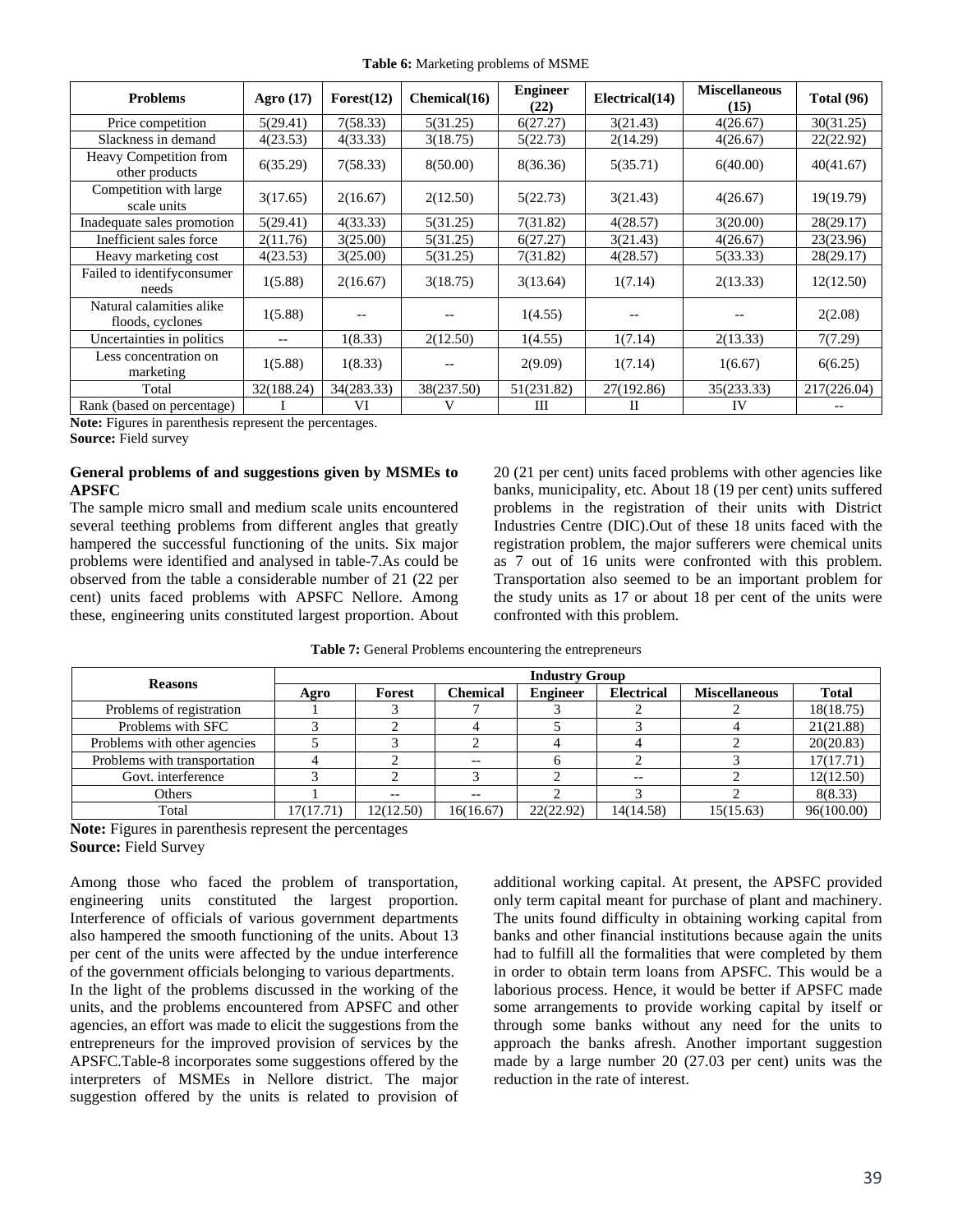| <b>Table 6:</b> Marketing problems of MSME |  |  |
|--------------------------------------------|--|--|
|--------------------------------------------|--|--|

| <b>Problems</b>                              | Agro $(17)$ | Forest(12) | Chemical(16) | <b>Engineer</b><br>(22) | Electrical(14) | <b>Miscellaneous</b><br>(15) | <b>Total (96)</b> |
|----------------------------------------------|-------------|------------|--------------|-------------------------|----------------|------------------------------|-------------------|
| Price competition                            | 5(29.41)    | 7(58.33)   | 5(31.25)     | 6(27.27)                | 3(21.43)       | 4(26.67)                     | 30(31.25)         |
| Slackness in demand                          | 4(23.53)    | 4(33.33)   | 3(18.75)     | 5(22.73)                | 2(14.29)       | 4(26.67)                     | 22(22.92)         |
| Heavy Competition from<br>other products     | 6(35.29)    | 7(58.33)   | 8(50.00)     | 8(36.36)                | 5(35.71)       | 6(40.00)                     | 40(41.67)         |
| Competition with large<br>scale units        | 3(17.65)    | 2(16.67)   | 2(12.50)     | 5(22.73)                | 3(21.43)       | 4(26.67)                     | 19(19.79)         |
| Inadequate sales promotion                   | 5(29.41)    | 4(33.33)   | 5(31.25)     | 7(31.82)                | 4(28.57)       | 3(20.00)                     | 28(29.17)         |
| Inefficient sales force                      | 2(11.76)    | 3(25.00)   | 5(31.25)     | 6(27.27)                | 3(21.43)       | 4(26.67)                     | 23(23.96)         |
| Heavy marketing cost                         | 4(23.53)    | 3(25.00)   | 5(31.25)     | 7(31.82)                | 4(28.57)       | 5(33.33)                     | 28(29.17)         |
| Failed to identifyconsumer<br>needs          | 1(5.88)     | 2(16.67)   | 3(18.75)     | 3(13.64)                | 1(7.14)        | 2(13.33)                     | 12(12.50)         |
| Natural calamities alike<br>floods, cyclones | 1(5.88)     |            |              | 1(4.55)                 |                |                              | 2(2.08)           |
| Uncertainties in politics                    | $- -$       | 1(8.33)    | 2(12.50)     | 1(4.55)                 | 1(7.14)        | 2(13.33)                     | 7(7.29)           |
| Less concentration on<br>marketing           | 1(5.88)     | 1(8.33)    | $- -$        | 2(9.09)                 | 1(7.14)        | 1(6.67)                      | 6(6.25)           |
| Total                                        | 32(188.24)  | 34(283.33) | 38(237.50)   | 51(231.82)              | 27(192.86)     | 35(233.33)                   | 217(226.04)       |
| Rank (based on percentage)                   |             | VI         |              | Ш                       | П              | IV                           |                   |

**Note:** Figures in parenthesis represent the percentages. **Source:** Field survey

# **General problems of and suggestions given by MSMEs to APSFC**

The sample micro small and medium scale units encountered several teething problems from different angles that greatly hampered the successful functioning of the units. Six major problems were identified and analysed in table-7.As could be observed from the table a considerable number of 21 (22 per cent) units faced problems with APSFC Nellore. Among these, engineering units constituted largest proportion. About 20 (21 per cent) units faced problems with other agencies like banks, municipality, etc. About 18 (19 per cent) units suffered problems in the registration of their units with District Industries Centre (DIC).Out of these 18 units faced with the registration problem, the major sufferers were chemical units as 7 out of 16 units were confronted with this problem. Transportation also seemed to be an important problem for the study units as 17 or about 18 per cent of the units were confronted with this problem.

| Table 7: General Problems encountering the entrepreneurs |  |  |  |  |  |  |
|----------------------------------------------------------|--|--|--|--|--|--|
|----------------------------------------------------------|--|--|--|--|--|--|

| <b>Reasons</b>               | <b>Industry Group</b> |           |                 |                 |                   |                      |              |  |  |  |
|------------------------------|-----------------------|-----------|-----------------|-----------------|-------------------|----------------------|--------------|--|--|--|
|                              | Agro                  | Forest    | <b>Chemical</b> | <b>Engineer</b> | <b>Electrical</b> | <b>Miscellaneous</b> | <b>Total</b> |  |  |  |
| Problems of registration     |                       |           |                 |                 |                   |                      | 18(18.75)    |  |  |  |
| Problems with SFC            |                       |           |                 |                 |                   |                      | 21(21.88)    |  |  |  |
| Problems with other agencies |                       |           |                 |                 |                   |                      | 20(20.83)    |  |  |  |
| Problems with transportation |                       |           | $- -$           |                 |                   |                      | 17(17.71)    |  |  |  |
| Govt. interference           |                       |           |                 |                 | $- -$             |                      | 12(12.50)    |  |  |  |
| <b>Others</b>                |                       |           | $- -$           |                 |                   |                      | 8(8.33)      |  |  |  |
| Total                        | 17(17.71)             | 12(12.50) | 16(16.67)       | 22(22.92)       | 14(14.58)         | 15(15.63)            | 96(100.00)   |  |  |  |

**Note:** Figures in parenthesis represent the percentages **Source:** Field Survey

Among those who faced the problem of transportation, engineering units constituted the largest proportion. Interference of officials of various government departments also hampered the smooth functioning of the units. About 13 per cent of the units were affected by the undue interference of the government officials belonging to various departments. In the light of the problems discussed in the working of the units, and the problems encountered from APSFC and other agencies, an effort was made to elicit the suggestions from the entrepreneurs for the improved provision of services by the APSFC.Table-8 incorporates some suggestions offered by the interpreters of MSMEs in Nellore district. The major suggestion offered by the units is related to provision of

additional working capital. At present, the APSFC provided only term capital meant for purchase of plant and machinery. The units found difficulty in obtaining working capital from banks and other financial institutions because again the units had to fulfill all the formalities that were completed by them in order to obtain term loans from APSFC. This would be a laborious process. Hence, it would be better if APSFC made some arrangements to provide working capital by itself or through some banks without any need for the units to approach the banks afresh. Another important suggestion made by a large number 20 (27.03 per cent) units was the reduction in the rate of interest.